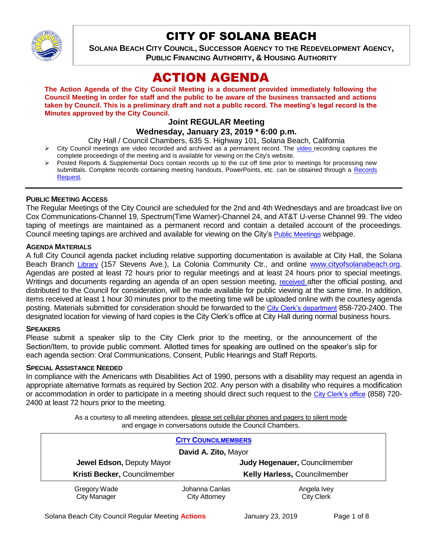

# CITY OF SOLANA BEACH

**SOLANA BEACH CITY COUNCIL, SUCCESSOR AGENCY TO THE REDEVELOPMENT AGENCY, PUBLIC FINANCING AUTHORITY, & HOUSING AUTHORITY** 

# ACTION AGENDA

**The Action Agenda of the City Council Meeting is a document provided immediately following the Council Meeting in order for staff and the public to be aware of the business transacted and actions taken by Council. This is a preliminary draft and not a public record. The meeting's legal record is the Minutes approved by the City Council.**

# **Joint REGULAR Meeting**

# **Wednesday, January 23, 2019 \* 6:00 p.m.**

City Hall / Council Chambers, 635 S. Highway 101, Solana Beach, California

- $\triangleright$  City Council meetings are [video r](https://solanabeach.12milesout.com/#page=1)ecorded and archived as a permanent record. The video recording captures the complete proceedings of the meeting and is available for viewing on the City's website.
- Posted Reports & Supplemental Docs contain records up to the cut off time prior to meetings for processing new submittals. Complete records containing meeting handouts, PowerPoints, etc. can be obtained through a Records [Request.](http://www.ci.solana-beach.ca.us/index.asp?SEC=F5D45D10-70CE-4291-A27C-7BD633FC6742&Type=B_BASIC)

### **PUBLIC MEETING ACCESS**

The Regular Meetings of the City Council are scheduled for the 2nd and 4th Wednesdays and are broadcast live on Cox Communications-Channel 19, Spectrum(Time Warner)-Channel 24, and AT&T U-verse Channel 99. The video taping of meetings are maintained as a permanent record and contain a detailed account of the proceedings. Council meeting tapings are archived and available for viewing on the City's [Public Meetings](https://www.ci.solana-beach.ca.us/index.asp?SEC=F0F1200D-21C6-4A88-8AE1-0BC07C1A81A7&Type=B_BASIC) webpage.

#### **AGENDA MATERIALS**

A full City Council agenda packet including relative supporting documentation is available at City Hall, the Solana Beach Branch [Library](http://www.sdcl.org/locations_SB.html) (157 Stevens Ave.), La Colonia Community Ctr., and online [www.cityofsolanabeach.org.](http://www.cityofsolanabeach.org/) Agendas are posted at least 72 hours prior to regular meetings and at least 24 hours prior to special meetings. Writings and documents regarding an agenda of an open session meeting, [received](mailto:EMAILGRP-CityClerksOfc@cosb.org) after the official posting, and distributed to the Council for consideration, will be made available for public viewing at the same time. In addition, items received at least 1 hour 30 minutes prior to the meeting time will be uploaded online with the courtesy agenda posting. Materials submitted for consideration should be forwarded to the [City Clerk's department](mailto:EMAILGRP-CityClerksOfc@cosb.org) 858-720-2400. The designated location for viewing of hard copies is the City Clerk's office at City Hall during normal business hours.

#### **SPEAKERS**

Please submit a speaker slip to the City Clerk prior to the meeting, or the announcement of the Section/Item, to provide public comment. Allotted times for speaking are outlined on the speaker's slip for each agenda section: Oral Communications, Consent, Public Hearings and Staff Reports.

#### **SPECIAL ASSISTANCE NEEDED**

In compliance with the Americans with Disabilities Act of 1990, persons with a disability may request an agenda in appropriate alternative formats as required by Section 202. Any person with a disability who requires a modification or accommodation in order to participate in a meeting should direct such request to the [City Clerk's office](mailto:clerkadmin@cosb.org?subject=City%20Clerk%20Notice%20of%20Special%20Services%20Needed) (858) 720- 2400 at least 72 hours prior to the meeting.

> As a courtesy to all meeting attendees, please set cellular phones and pagers to silent mode and engage in conversations outside the Council Chambers.

| <b>CITY COUNCILMEMBERS</b>          |                                        |                                  |
|-------------------------------------|----------------------------------------|----------------------------------|
| David A. Zito, Mayor                |                                        |                                  |
| Jewel Edson, Deputy Mayor           |                                        | Judy Hegenauer, Councilmember    |
| Kristi Becker, Councilmember        |                                        | Kelly Harless, Councilmember     |
| Gregory Wade<br><b>City Manager</b> | Johanna Canlas<br><b>City Attorney</b> | Angela Ivey<br><b>City Clerk</b> |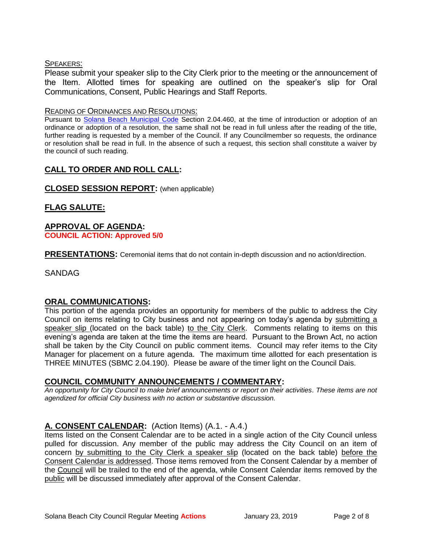#### SPEAKERS:

Please submit your speaker slip to the City Clerk prior to the meeting or the announcement of the Item. Allotted times for speaking are outlined on the speaker's slip for Oral Communications, Consent, Public Hearings and Staff Reports.

#### READING OF ORDINANCES AND RESOLUTIONS:

Pursuant to [Solana Beach Municipal Code](mailto:https://www.codepublishing.com/CA/SolanaBeach/) Section 2.04.460, at the time of introduction or adoption of an ordinance or adoption of a resolution, the same shall not be read in full unless after the reading of the title, further reading is requested by a member of the Council. If any Councilmember so requests, the ordinance or resolution shall be read in full. In the absence of such a request, this section shall constitute a waiver by the council of such reading.

# **CALL TO ORDER AND ROLL CALL:**

**CLOSED SESSION REPORT:** (when applicable)

# **FLAG SALUTE:**

#### **APPROVAL OF AGENDA: COUNCIL ACTION: Approved 5/0**

**PRESENTATIONS:** Ceremonial items that do not contain in-depth discussion and no action/direction.

SANDAG

# **ORAL COMMUNICATIONS:**

This portion of the agenda provides an opportunity for members of the public to address the City Council on items relating to City business and not appearing on today's agenda by submitting a speaker slip (located on the back table) to the City Clerk. Comments relating to items on this evening's agenda are taken at the time the items are heard. Pursuant to the Brown Act, no action shall be taken by the City Council on public comment items. Council may refer items to the City Manager for placement on a future agenda. The maximum time allotted for each presentation is THREE MINUTES (SBMC 2.04.190). Please be aware of the timer light on the Council Dais.

# **COUNCIL COMMUNITY ANNOUNCEMENTS / COMMENTARY:**

*An opportunity for City Council to make brief announcements or report on their activities. These items are not agendized for official City business with no action or substantive discussion.* 

# **A. CONSENT CALENDAR:** (Action Items) (A.1. - A.4.)

Items listed on the Consent Calendar are to be acted in a single action of the City Council unless pulled for discussion. Any member of the public may address the City Council on an item of concern by submitting to the City Clerk a speaker slip (located on the back table) before the Consent Calendar is addressed. Those items removed from the Consent Calendar by a member of the Council will be trailed to the end of the agenda, while Consent Calendar items removed by the public will be discussed immediately after approval of the Consent Calendar.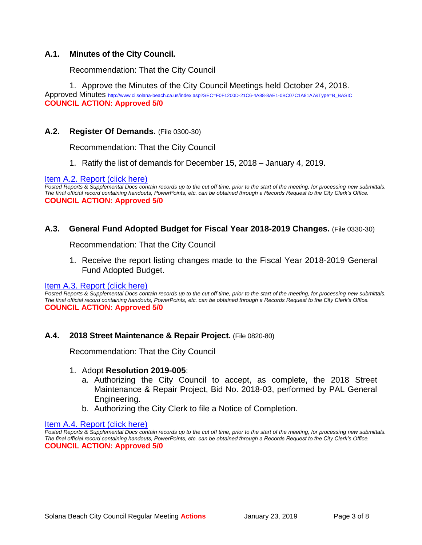# **A.1. Minutes of the City Council.**

Recommendation: That the City Council

1. Approve the Minutes of the City Council Meetings held October 24, 2018.

Approved Minutes [http://www.ci.solana-beach.ca.us/index.asp?SEC=F0F1200D-21C6-4A88-8AE1-0BC07C1A81A7&Type=B\\_BASIC](http://www.ci.solana-beach.ca.us/index.asp?SEC=F0F1200D-21C6-4A88-8AE1-0BC07C1A81A7&Type=B_BASIC) **COUNCIL ACTION: Approved 5/0**

# **A.2. Register Of Demands.** (File 0300-30)

Recommendation: That the City Council

1. Ratify the list of demands for December 15, 2018 – January 4, 2019.

#### [Item A.2. Report \(click here\)](https://solanabeach.govoffice3.com/vertical/Sites/%7B840804C2-F869-4904-9AE3-720581350CE7%7D/uploads/Item_A.2._Report_(click_here)_01-23-19_-_O.pdf)

*Posted Reports & Supplemental Docs contain records up to the cut off time, prior to the start of the meeting, for processing new submittals. The final official record containing handouts, PowerPoints, etc. can be obtained through a Records Request to the City Clerk's Office.* **COUNCIL ACTION: Approved 5/0**

#### **A.3. General Fund Adopted Budget for Fiscal Year 2018-2019 Changes.** (File 0330-30)

Recommendation: That the City Council

1. Receive the report listing changes made to the Fiscal Year 2018-2019 General Fund Adopted Budget.

#### [Item A.3. Report \(click here\)](https://solanabeach.govoffice3.com/vertical/Sites/%7B840804C2-F869-4904-9AE3-720581350CE7%7D/uploads/Item_A.3._Report_(click_here)_01-23-19_-_O.pdf)

*Posted Reports & Supplemental Docs contain records up to the cut off time, prior to the start of the meeting, for processing new submittals. The final official record containing handouts, PowerPoints, etc. can be obtained through a Records Request to the City Clerk's Office.* **COUNCIL ACTION: Approved 5/0**

#### **A.4. 2018 Street Maintenance & Repair Project.** (File 0820-80)

Recommendation: That the City Council

#### 1. Adopt **Resolution 2019-005**:

- a. Authorizing the City Council to accept, as complete, the 2018 Street Maintenance & Repair Project, Bid No. 2018-03, performed by PAL General Engineering.
- b. Authorizing the City Clerk to file a Notice of Completion.

[Item A.4. Report \(click here\)](https://solanabeach.govoffice3.com/vertical/Sites/%7B840804C2-F869-4904-9AE3-720581350CE7%7D/uploads/Item_A.4._Report_(click_here)_01-23-19_-_O.pdf) 

*Posted Reports & Supplemental Docs contain records up to the cut off time, prior to the start of the meeting, for processing new submittals. The final official record containing handouts, PowerPoints, etc. can be obtained through a Records Request to the City Clerk's Office.* **COUNCIL ACTION: Approved 5/0**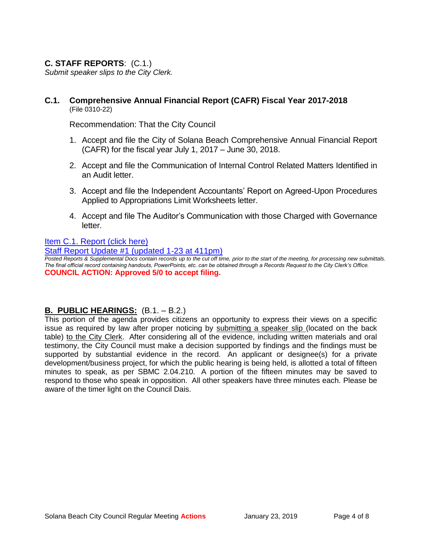# **C. STAFF REPORTS**: (C.1.)

*Submit speaker slips to the City Clerk.*

#### **C.1. Comprehensive Annual Financial Report (CAFR) Fiscal Year 2017-2018** (File 0310-22)

Recommendation: That the City Council

- 1. Accept and file the City of Solana Beach Comprehensive Annual Financial Report (CAFR) for the fiscal year July 1, 2017 – June 30, 2018.
- 2. Accept and file the Communication of Internal Control Related Matters Identified in an Audit letter.
- 3. Accept and file the Independent Accountants' Report on Agreed-Upon Procedures Applied to Appropriations Limit Worksheets letter.
- 4. Accept and file The Auditor's Communication with those Charged with Governance letter.

#### [Item C.1. Report](https://solanabeach.govoffice3.com/vertical/Sites/%7B840804C2-F869-4904-9AE3-720581350CE7%7D/uploads/Item_C.1._Report_(click_here)_01-23-19_-_O.pdf) (click here)

[Staff Report Update #1 \(updated 1-23 at 411pm\)](https://solanabeach.govoffice3.com/vertical/Sites/%7B840804C2-F869-4904-9AE3-720581350CE7%7D/uploads/Staff_Report_Update_1-O.pdf)

*Posted Reports & Supplemental Docs contain records up to the cut off time, prior to the start of the meeting, for processing new submittals. The final official record containing handouts, PowerPoints, etc. can be obtained through a Records Request to the City Clerk's Office.* **COUNCIL ACTION: Approved 5/0 to accept filing.** 

# **B. PUBLIC HEARINGS:** (B.1. – B.2.)

This portion of the agenda provides citizens an opportunity to express their views on a specific issue as required by law after proper noticing by submitting a speaker slip (located on the back table) to the City Clerk. After considering all of the evidence, including written materials and oral testimony, the City Council must make a decision supported by findings and the findings must be supported by substantial evidence in the record. An applicant or designee(s) for a private development/business project, for which the public hearing is being held, is allotted a total of fifteen minutes to speak, as per SBMC 2.04.210. A portion of the fifteen minutes may be saved to respond to those who speak in opposition. All other speakers have three minutes each. Please be aware of the timer light on the Council Dais.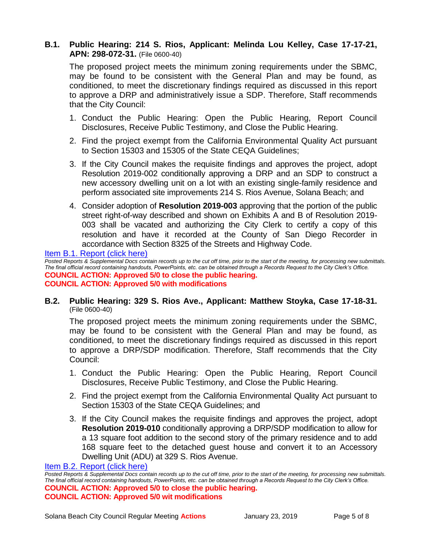# **B.1. Public Hearing: 214 S. Rios, Applicant: Melinda Lou Kelley, Case 17-17-21, APN: 298-072-31.** (File 0600-40)

The proposed project meets the minimum zoning requirements under the SBMC, may be found to be consistent with the General Plan and may be found, as conditioned, to meet the discretionary findings required as discussed in this report to approve a DRP and administratively issue a SDP. Therefore, Staff recommends that the City Council:

- 1. Conduct the Public Hearing: Open the Public Hearing, Report Council Disclosures, Receive Public Testimony, and Close the Public Hearing.
- 2. Find the project exempt from the California Environmental Quality Act pursuant to Section 15303 and 15305 of the State CEQA Guidelines;
- 3. If the City Council makes the requisite findings and approves the project, adopt Resolution 2019-002 conditionally approving a DRP and an SDP to construct a new accessory dwelling unit on a lot with an existing single-family residence and perform associated site improvements 214 S. Rios Avenue, Solana Beach; and
- 4. Consider adoption of **Resolution 2019-003** approving that the portion of the public street right-of-way described and shown on Exhibits A and B of Resolution 2019- 003 shall be vacated and authorizing the City Clerk to certify a copy of this resolution and have it recorded at the County of San Diego Recorder in accordance with Section 8325 of the Streets and Highway Code.

[Item B.1. Report \(click here\)](https://solanabeach.govoffice3.com/vertical/Sites/%7B840804C2-F869-4904-9AE3-720581350CE7%7D/uploads/Item_B.1._Report_(click_here)_01-23-19_-_O.pdf) 

*Posted Reports & Supplemental Docs contain records up to the cut off time, prior to the start of the meeting, for processing new submittals. The final official record containing handouts, PowerPoints, etc. can be obtained through a Records Request to the City Clerk's Office.* **COUNCIL ACTION: Approved 5/0 to close the public hearing. COUNCIL ACTION: Approved 5/0 with modifications**

#### **B.2. Public Hearing: 329 S. Rios Ave., Applicant: Matthew Stoyka, Case 17-18-31.**  (File 0600-40)

The proposed project meets the minimum zoning requirements under the SBMC, may be found to be consistent with the General Plan and may be found, as conditioned, to meet the discretionary findings required as discussed in this report to approve a DRP/SDP modification. Therefore, Staff recommends that the City Council:

- 1. Conduct the Public Hearing: Open the Public Hearing, Report Council Disclosures, Receive Public Testimony, and Close the Public Hearing.
- 2. Find the project exempt from the California Environmental Quality Act pursuant to Section 15303 of the State CEQA Guidelines; and
- 3. If the City Council makes the requisite findings and approves the project, adopt **Resolution 2019-010** conditionally approving a DRP/SDP modification to allow for a 13 square foot addition to the second story of the primary residence and to add 168 square feet to the detached guest house and convert it to an Accessory Dwelling Unit (ADU) at 329 S. Rios Avenue.

[Item B.2. Report \(click here\)](https://solanabeach.govoffice3.com/vertical/Sites/%7B840804C2-F869-4904-9AE3-720581350CE7%7D/uploads/Item_B.2._Report_(click_here)_01-23-19_-_O.pdf) 

*Posted Reports & Supplemental Docs contain records up to the cut off time, prior to the start of the meeting, for processing new submittals. The final official record containing handouts, PowerPoints, etc. can be obtained through a Records Request to the City Clerk's Office.* **COUNCIL ACTION: Approved 5/0 to close the public hearing. COUNCIL ACTION: Approved 5/0 wit modifications**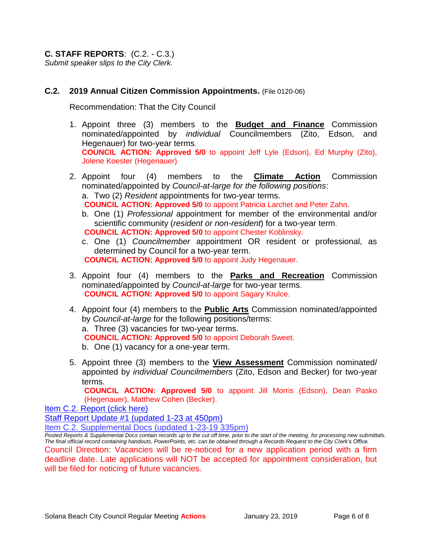**C. STAFF REPORTS**: (C.2. - C.3.) *Submit speaker slips to the City Clerk.*

# **C.2. 2019 Annual Citizen Commission Appointments.** (File 0120-06)

Recommendation: That the City Council

- 1. Appoint three (3) members to the **Budget and Finance** Commission nominated/appointed by *individual* Councilmembers (Zito, Edson, and Hegenauer) for two-year terms. **COUNCIL ACTION: Approved 5/0** to appoint Jeff Lyle (Edson), Ed Murphy (Zito), Jolene Koester (Hegenauer)
- 2. Appoint four (4) members to the **Climate Action** Commission nominated/appointed by *Council-at-large for the following positions*: a. Two (2) *Resident* appointments for two-year terms. **COUNCIL ACTION: Approved 5/0** to appoint Patricia Larchet and Peter Zahn.
	- b. One (1) *Professional* appointment for member of the environmental and/or scientific community (*resident or non-resident*) for a two-year term. **COUNCIL ACTION: Approved 5/0** to appoint Chester Koblinsky.
	- c. One (1) *Councilmember* appointment OR resident or professional, as determined by Council for a two-year term. **COUNCIL ACTION: Approved 5/0** to appoint Judy Hegenauer.
- 3. Appoint four (4) members to the **Parks and Recreation** Commission nominated/appointed by *Council-at-large* for two-year terms. **COUNCIL ACTION: Approved 5/0** to appoint Sagary Krulce.
- 4. Appoint four (4) members to the **Public Arts** Commission nominated/appointed by *Council-at-large* for the following positions/terms: a. Three (3) vacancies for two-year terms. **COUNCIL ACTION: Approved 5/0** to appoint Deborah Sweet. b. One (1) vacancy for a one-year term.
- 5. Appoint three (3) members to the **View Assessment** Commission nominated/ appointed by *individual Councilmembers* (Zito, Edson and Becker) for two-year terms.

**COUNCIL ACTION: Approved 5/0** to appoint Jill Morris (Edson), Dean Pasko (Hegenauer), Matthew Cohen (Becker).

[Item C.2. Report \(click here\)](https://solanabeach.govoffice3.com/vertical/Sites/%7B840804C2-F869-4904-9AE3-720581350CE7%7D/uploads/Item_C.2._Report_(click_here)_01-23-19_-_O.pdf) 

[Staff Report Update #1 \(updated 1-23 at 450pm\)](https://solanabeach.govoffice3.com/vertical/Sites/%7B840804C2-F869-4904-9AE3-720581350CE7%7D/uploads/C.2._Staff_Report_Update_1-O.pdf)

[Item C.2. Supplemental Docs \(updated 1-23-19 335pm\)](https://solanabeach.govoffice3.com/vertical/Sites/%7B840804C2-F869-4904-9AE3-720581350CE7%7D/uploads/Item_C.2._Supplemental_Docs_(updated_1-23-19)_-_330pm.pdf)

*Posted Reports & Supplemental Docs contain records up to the cut off time, prior to the start of the meeting, for processing new submittals. The final official record containing handouts, PowerPoints, etc. can be obtained through a Records Request to the City Clerk's Office.* Council Direction: Vacancies will be re-noticed for a new application period with a firm deadline date. Late applications will NOT be accepted for appointment consideration, but will be filed for noticing of future vacancies.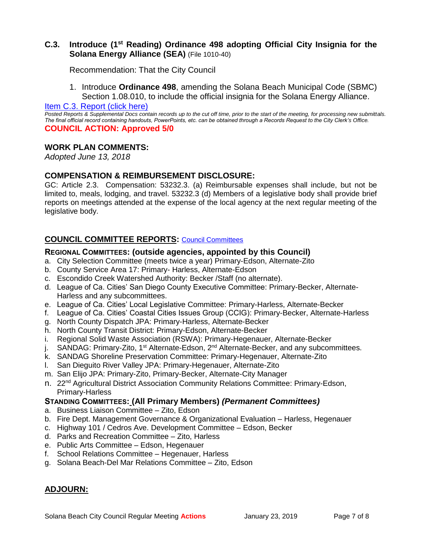# **C.3. Introduce (1st Reading) Ordinance 498 adopting Official City Insignia for the Solana Energy Alliance (SEA)** (File 1010-40)

Recommendation: That the City Council

1. Introduce **Ordinance 498**, amending the Solana Beach Municipal Code (SBMC) Section 1.08.010, to include the official insignia for the Solana Energy Alliance.

#### [Item C.3. Report \(click here\)](https://solanabeach.govoffice3.com/vertical/Sites/%7B840804C2-F869-4904-9AE3-720581350CE7%7D/uploads/Item_C.3._Report_(click_here)_01-23-19_-_O.pdf)

*Posted Reports & Supplemental Docs contain records up to the cut off time, prior to the start of the meeting, for processing new submittals. The final official record containing handouts, PowerPoints, etc. can be obtained through a Records Request to the City Clerk's Office.* **COUNCIL ACTION: Approved 5/0**

#### **WORK PLAN COMMENTS:**

*Adopted June 13, 2018*

### **COMPENSATION & REIMBURSEMENT DISCLOSURE:**

GC: Article 2.3. Compensation: 53232.3. (a) Reimbursable expenses shall include, but not be limited to, meals, lodging, and travel. 53232.3 (d) Members of a legislative body shall provide brief reports on meetings attended at the expense of the local agency at the next regular meeting of the legislative body.

#### **COUNCIL COMMITTEE REPORTS:** [Council Committees](https://www.ci.solana-beach.ca.us/index.asp?SEC=584E1192-3850-46EA-B977-088AC3E81E0D&Type=B_BASIC)

#### **REGIONAL COMMITTEES: (outside agencies, appointed by this Council)**

- a. City Selection Committee (meets twice a year) Primary-Edson, Alternate-Zito
- b. County Service Area 17: Primary- Harless, Alternate-Edson
- c. Escondido Creek Watershed Authority: Becker /Staff (no alternate).
- d. League of Ca. Cities' San Diego County Executive Committee: Primary-Becker, Alternate-Harless and any subcommittees.
- e. League of Ca. Cities' Local Legislative Committee: Primary-Harless, Alternate-Becker
- f. League of Ca. Cities' Coastal Cities Issues Group (CCIG): Primary-Becker, Alternate-Harless
- g. North County Dispatch JPA: Primary-Harless, Alternate-Becker
- h. North County Transit District: Primary-Edson, Alternate-Becker
- i. Regional Solid Waste Association (RSWA): Primary-Hegenauer, Alternate-Becker
- j. SANDAG: Primary-Zito, 1<sup>st</sup> Alternate-Edson, 2<sup>nd</sup> Alternate-Becker, and any subcommittees.
- k. SANDAG Shoreline Preservation Committee: Primary-Hegenauer, Alternate-Zito
- l. San Dieguito River Valley JPA: Primary-Hegenauer, Alternate-Zito
- m. San Elijo JPA: Primary-Zito, Primary-Becker, Alternate-City Manager
- n. 22<sup>nd</sup> Agricultural District Association Community Relations Committee: Primary-Edson, Primary-Harless

#### **STANDING COMMITTEES: (All Primary Members)** *(Permanent Committees)*

- a. Business Liaison Committee Zito, Edson
- b. Fire Dept. Management Governance & Organizational Evaluation Harless, Hegenauer
- c. Highway 101 / Cedros Ave. Development Committee Edson, Becker
- d. Parks and Recreation Committee Zito, Harless
- e. Public Arts Committee Edson, Hegenauer
- f. School Relations Committee Hegenauer, Harless
- g. Solana Beach-Del Mar Relations Committee Zito, Edson

# **ADJOURN:**